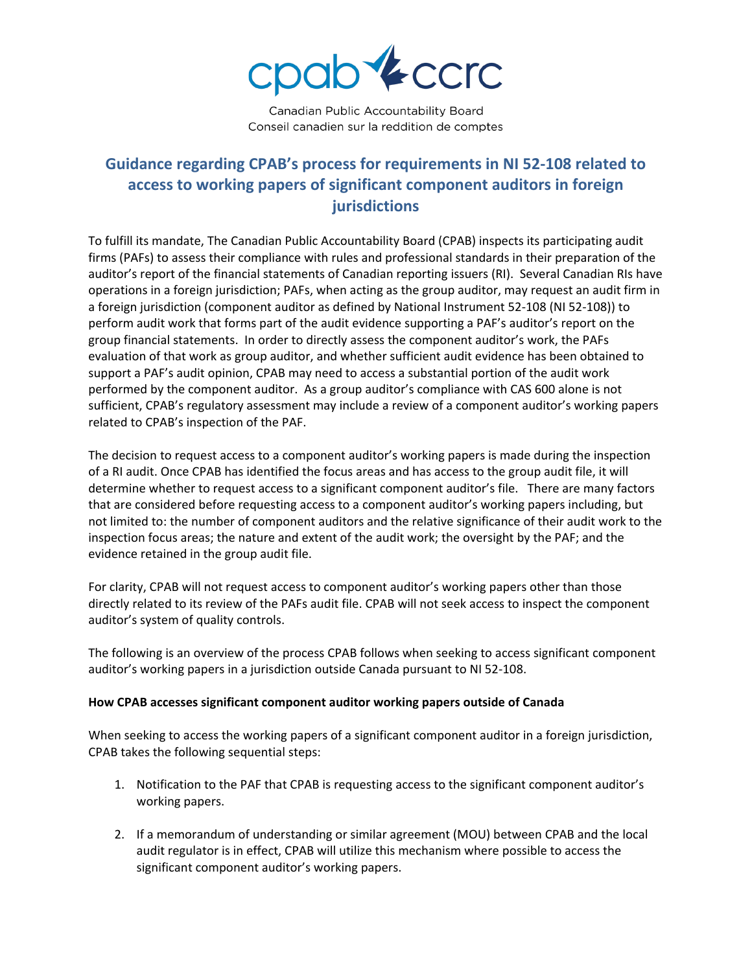

Canadian Public Accountability Board Conseil canadien sur la reddition de comptes

## **Guidance regarding CPAB's process for requirements in NI 52-108 related to access to working papers of significant component auditors in foreign jurisdictions**

To fulfill its mandate, The Canadian Public Accountability Board (CPAB) inspects its participating audit firms (PAFs) to assess their compliance with rules and professional standards in their preparation of the auditor's report of the financial statements of Canadian reporting issuers (RI). Several Canadian RIs have operations in a foreign jurisdiction; PAFs, when acting as the group auditor, may request an audit firm in a foreign jurisdiction (component auditor as defined by National Instrument 52-108 (NI 52-108)) to perform audit work that forms part of the audit evidence supporting a PAF's auditor's report on the group financial statements. In order to directly assess the component auditor's work, the PAFs evaluation of that work as group auditor, and whether sufficient audit evidence has been obtained to support a PAF's audit opinion, CPAB may need to access a substantial portion of the audit work performed by the component auditor. As a group auditor's compliance with CAS 600 alone is not sufficient, CPAB's regulatory assessment may include a review of a component auditor's working papers related to CPAB's inspection of the PAF.

The decision to request access to a component auditor's working papers is made during the inspection of a RI audit. Once CPAB has identified the focus areas and has access to the group audit file, it will determine whether to request access to a significant component auditor's file. There are many factors that are considered before requesting access to a component auditor's working papers including, but not limited to: the number of component auditors and the relative significance of their audit work to the inspection focus areas; the nature and extent of the audit work; the oversight by the PAF; and the evidence retained in the group audit file.

For clarity, CPAB will not request access to component auditor's working papers other than those directly related to its review of the PAFs audit file. CPAB will not seek access to inspect the component auditor's system of quality controls.

The following is an overview of the process CPAB follows when seeking to access significant component auditor's working papers in a jurisdiction outside Canada pursuant to NI 52-108.

## **How CPAB accesses significant component auditor working papers outside of Canada**

When seeking to access the working papers of a significant component auditor in a foreign jurisdiction, CPAB takes the following sequential steps:

- 1. Notification to the PAF that CPAB is requesting access to the significant component auditor's working papers.
- 2. If a memorandum of understanding or similar agreement (MOU) between CPAB and the local audit regulator is in effect, CPAB will utilize this mechanism where possible to access the significant component auditor's working papers.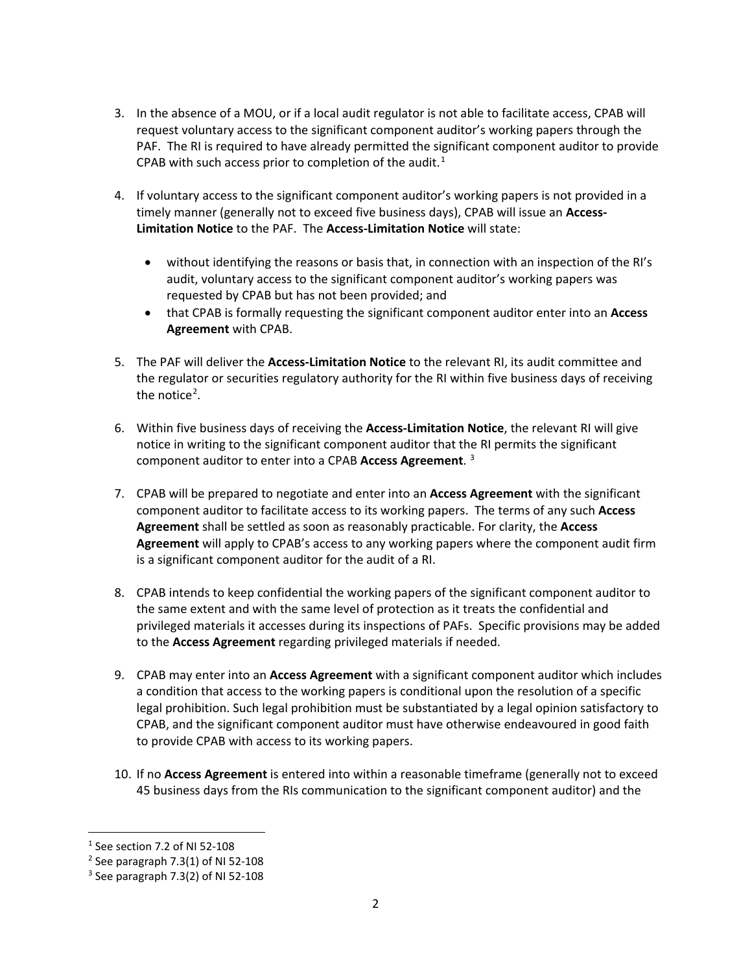- 3. In the absence of a MOU, or if a local audit regulator is not able to facilitate access, CPAB will request voluntary access to the significant component auditor's working papers through the PAF. The RI is required to have already permitted the significant component auditor to provide CPAB with such access prior to completion of the audit.<sup>[1](#page-1-0)</sup>
- 4. If voluntary access to the significant component auditor's working papers is not provided in a timely manner (generally not to exceed five business days), CPAB will issue an **Access-Limitation Notice** to the PAF. The **Access-Limitation Notice** will state:
	- without identifying the reasons or basis that, in connection with an inspection of the RI's audit, voluntary access to the significant component auditor's working papers was requested by CPAB but has not been provided; and
	- that CPAB is formally requesting the significant component auditor enter into an **Access Agreement** with CPAB.
- 5. The PAF will deliver the **Access-Limitation Notice** to the relevant RI, its audit committee and the regulator or securities regulatory authority for the RI within five business days of receiving the notice<sup>[2](#page-1-1)</sup>.
- 6. Within five business days of receiving the **Access-Limitation Notice**, the relevant RI will give notice in writing to the significant component auditor that the RI permits the significant component auditor to enter into a CPAB **Access Agreement**. [3](#page-1-2)
- 7. CPAB will be prepared to negotiate and enter into an **Access Agreement** with the significant component auditor to facilitate access to its working papers. The terms of any such **Access Agreement** shall be settled as soon as reasonably practicable. For clarity, the **Access Agreement** will apply to CPAB's access to any working papers where the component audit firm is a significant component auditor for the audit of a RI.
- 8. CPAB intends to keep confidential the working papers of the significant component auditor to the same extent and with the same level of protection as it treats the confidential and privileged materials it accesses during its inspections of PAFs. Specific provisions may be added to the **Access Agreement** regarding privileged materials if needed.
- 9. CPAB may enter into an **Access Agreement** with a significant component auditor which includes a condition that access to the working papers is conditional upon the resolution of a specific legal prohibition. Such legal prohibition must be substantiated by a legal opinion satisfactory to CPAB, and the significant component auditor must have otherwise endeavoured in good faith to provide CPAB with access to its working papers.
- 10. If no **Access Agreement** is entered into within a reasonable timeframe (generally not to exceed 45 business days from the RIs communication to the significant component auditor) and the

<span id="page-1-0"></span> $1$  See section 7.2 of NI 52-108

<span id="page-1-1"></span> $2$  See paragraph 7.3(1) of NI 52-108

<span id="page-1-2"></span> $3$  See paragraph 7.3(2) of NI 52-108